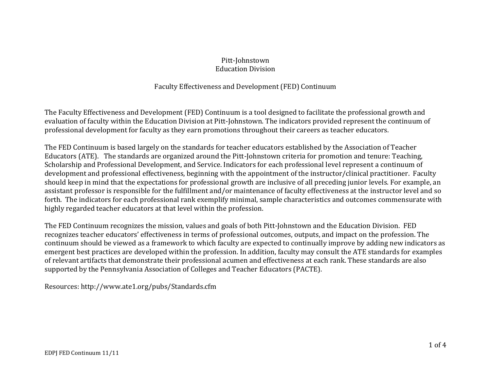#### Pitt-Johnstown Education Division

#### Faculty Effectiveness and Development (FED) Continuum

The Faculty Effectiveness and Development (FED) Continuum is a tool designed to facilitate the professional growth and evaluation of faculty within the Education Division at Pitt-Johnstown. The indicators provided represent the continuum of professional development for faculty as they earn promotions throughout their careers as teacher educators.

The FED Continuum is based largely on the standards for teacher educators established by the Association of Teacher Educators (ATE). The standards are organized around the Pitt-Johnstown criteria for promotion and tenure: Teaching, Scholarship and Professional Development, and Service. Indicators for each professional level represent a continuum of development and professional effectiveness, beginning with the appointment of the instructor/clinical practitioner. Faculty should keep in mind that the expectations for professional growth are inclusive of all preceding junior levels. For example, an assistant professor is responsible for the fulfillment and/or maintenance of faculty effectiveness at the instructor level and so forth. The indicators for each professional rank exemplify minimal, sample characteristics and outcomes commensurate with highly regarded teacher educators at that level within the profession.

The FED Continuum recognizes the mission, values and goals of both Pitt-Johnstown and the Education Division. FED recognizes teacher educators' effectiveness in terms of professional outcomes, outputs, and impact on the profession. The continuum should be viewed as a framework to which faculty are expected to continually improve by adding new indicators as emergent best practices are developed within the profession. In addition, faculty may consult the ATE standards for examples of relevant artifacts that demonstrate their professional acumen and effectiveness at each rank. These standards are also supported by the Pennsylvania Association of Colleges and Teacher Educators (PACTE).

Resources: http://www.ate1.org/pubs/Standards.cfm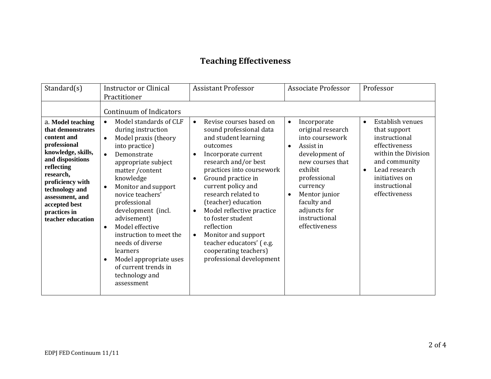# **Teaching Effectiveness**

| Standard $(s)$                                                                                                                                                                                                                                            | <b>Instructor or Clinical</b><br>Practitioner                                                                                                                                                                                                                                                                                                                                                                                                                                                                                        | <b>Assistant Professor</b>                                                                                                                                                                                                                                                                                                                                                                                                                                                                            | <b>Associate Professor</b>                                                                                                                                                                                                                                             | Professor                                                                                                                                                                                    |
|-----------------------------------------------------------------------------------------------------------------------------------------------------------------------------------------------------------------------------------------------------------|--------------------------------------------------------------------------------------------------------------------------------------------------------------------------------------------------------------------------------------------------------------------------------------------------------------------------------------------------------------------------------------------------------------------------------------------------------------------------------------------------------------------------------------|-------------------------------------------------------------------------------------------------------------------------------------------------------------------------------------------------------------------------------------------------------------------------------------------------------------------------------------------------------------------------------------------------------------------------------------------------------------------------------------------------------|------------------------------------------------------------------------------------------------------------------------------------------------------------------------------------------------------------------------------------------------------------------------|----------------------------------------------------------------------------------------------------------------------------------------------------------------------------------------------|
| a. Model teaching<br>that demonstrates<br>content and<br>professional<br>knowledge, skills,<br>and dispositions<br>reflecting<br>research,<br>proficiency with<br>technology and<br>assessment, and<br>accepted best<br>practices in<br>teacher education | Continuum of Indicators<br>Model standards of CLF<br>$\bullet$<br>during instruction<br>Model praxis (theory<br>$\bullet$<br>into practice)<br>Demonstrate<br>$\bullet$<br>appropriate subject<br>matter/content<br>knowledge<br>Monitor and support<br>$\bullet$<br>novice teachers'<br>professional<br>development (incl.<br>advisement)<br>Model effective<br>$\bullet$<br>instruction to meet the<br>needs of diverse<br>learners<br>Model appropriate uses<br>$\bullet$<br>of current trends in<br>technology and<br>assessment | Revise courses based on<br>$\bullet$<br>sound professional data<br>and student learning<br>outcomes<br>Incorporate current<br>$\bullet$<br>research and/or best<br>practices into coursework<br>Ground practice in<br>$\bullet$<br>current policy and<br>research related to<br>(teacher) education<br>Model reflective practice<br>$\bullet$<br>to foster student<br>reflection<br>Monitor and support<br>$\bullet$<br>teacher educators' (e.g.<br>cooperating teachers)<br>professional development | Incorporate<br>$\bullet$<br>original research<br>into coursework<br>Assist in<br>$\bullet$<br>development of<br>new courses that<br>exhibit<br>professional<br>currency<br>Mentor junior<br>$\bullet$<br>faculty and<br>adjuncts for<br>instructional<br>effectiveness | Establish venues<br>$\bullet$<br>that support<br>instructional<br>effectiveness<br>within the Division<br>and community<br>Lead research<br>initiatives on<br>instructional<br>effectiveness |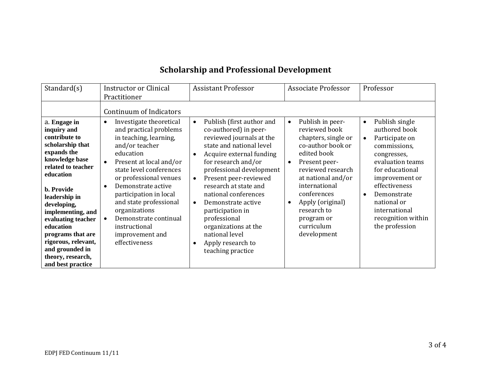# **Scholarship and Professional Development**

|                                                                                                                                                                                                                                                                                                                                                                                                               | <b>Assistant Professor</b>                                                                                                                                                                                                                                                                                                                                           | <b>Associate Professor</b>                                                                                                                                                                                                                                          | Professor                                                                                                                                                                                                                                                 |
|---------------------------------------------------------------------------------------------------------------------------------------------------------------------------------------------------------------------------------------------------------------------------------------------------------------------------------------------------------------------------------------------------------------|----------------------------------------------------------------------------------------------------------------------------------------------------------------------------------------------------------------------------------------------------------------------------------------------------------------------------------------------------------------------|---------------------------------------------------------------------------------------------------------------------------------------------------------------------------------------------------------------------------------------------------------------------|-----------------------------------------------------------------------------------------------------------------------------------------------------------------------------------------------------------------------------------------------------------|
| Practitioner<br>Continuum of Indicators<br>Investigate theoretical<br>$\bullet$<br>and practical problems<br>in teaching, learning,<br>and/or teacher<br>education<br>Present at local and/or<br>$\bullet$<br>state level conferences<br>or professional venues<br>Demonstrate active<br>$\bullet$<br>participation in local<br>and state professional<br>organizations<br>Demonstrate continual<br>$\bullet$ | Publish (first author and<br>$\bullet$<br>co-authored) in peer-<br>reviewed journals at the<br>state and national level<br>Acquire external funding<br>for research and/or<br>professional development<br>Present peer-reviewed<br>$\bullet$<br>research at state and<br>national conferences<br>Demonstrate active<br>$\bullet$<br>participation in<br>professional | Publish in peer-<br>$\bullet$<br>reviewed book<br>chapters, single or<br>co-author book or<br>edited book<br>Present peer-<br>$\bullet$<br>reviewed research<br>at national and/or<br>international<br>conferences<br>Apply (original)<br>research to<br>program or | Publish single<br>$\bullet$<br>authored book<br>Participate on<br>$\bullet$<br>commissions,<br>congresses,<br>evaluation teams<br>for educational<br>improvement or<br>effectiveness<br>Demonstrate<br>national or<br>international<br>recognition within |
| instructional<br>improvement and<br>effectiveness                                                                                                                                                                                                                                                                                                                                                             | organizations at the<br>national level<br>Apply research to<br>teaching practice                                                                                                                                                                                                                                                                                     | curriculum<br>development                                                                                                                                                                                                                                           | the profession                                                                                                                                                                                                                                            |
|                                                                                                                                                                                                                                                                                                                                                                                                               |                                                                                                                                                                                                                                                                                                                                                                      |                                                                                                                                                                                                                                                                     |                                                                                                                                                                                                                                                           |